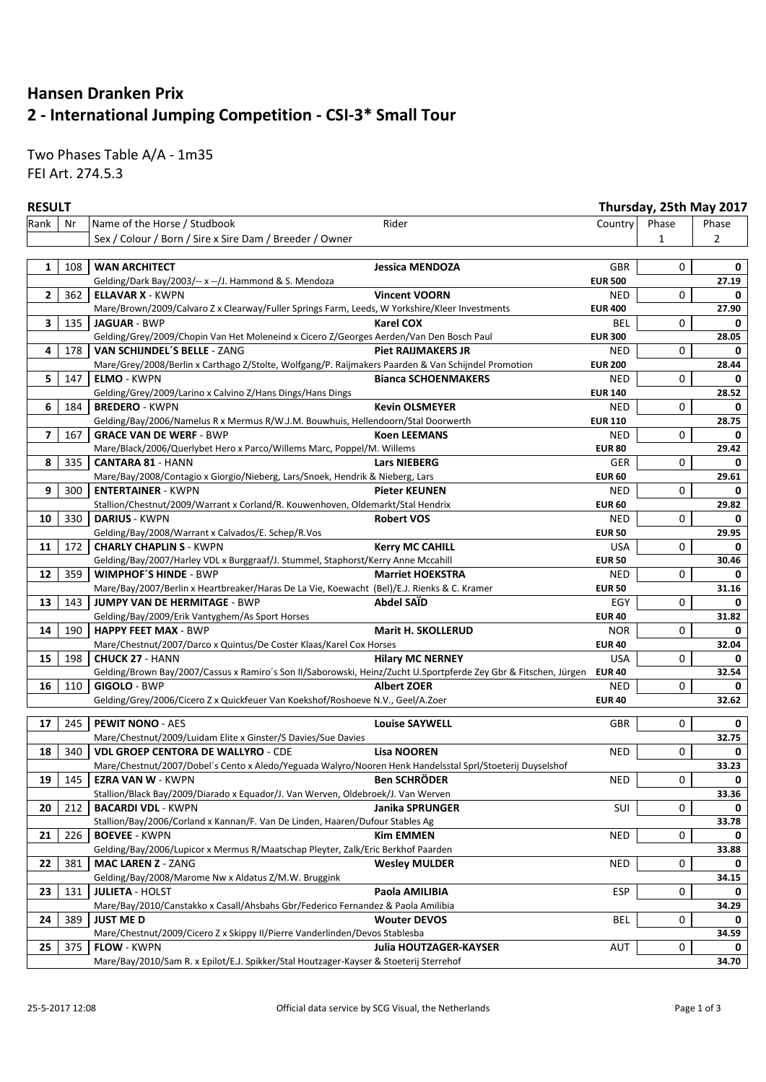## **Hansen Dranken Prix 2 - International Jumping Competition - CSI-3\* Small Tour**

Two Phases Table A/A - 1m35 FEI Art. 274.5.3

### **RESULT Thursday, 25th May 2017**

| Rank                     | Nr  | Name of the Horse / Studbook                                                                                            | Rider                         | Country        | Phase | Phase          |
|--------------------------|-----|-------------------------------------------------------------------------------------------------------------------------|-------------------------------|----------------|-------|----------------|
|                          |     | Sex / Colour / Born / Sire x Sire Dam / Breeder / Owner                                                                 |                               |                | 1     | $\overline{2}$ |
|                          |     |                                                                                                                         |                               |                |       |                |
| 1                        |     | 108   WAN ARCHITECT                                                                                                     | <b>Jessica MENDOZA</b>        | GBR            | 0     | 0              |
|                          |     | Gelding/Dark Bay/2003/-- x --/J. Hammond & S. Mendoza                                                                   |                               | <b>EUR 500</b> |       | 27.19          |
| 2                        | 362 | <b>ELLAVAR X - KWPN</b>                                                                                                 | <b>Vincent VOORN</b>          | <b>NED</b>     | 0     | 0              |
|                          |     | Mare/Brown/2009/Calvaro Z x Clearway/Fuller Springs Farm, Leeds, W Yorkshire/Kleer Investments                          |                               | <b>EUR 400</b> |       | 27.90          |
| 3                        | 135 | <b>JAGUAR - BWP</b>                                                                                                     | <b>Karel COX</b>              | BEL            | 0     | 0              |
|                          |     |                                                                                                                         |                               |                |       | 28.05          |
|                          |     | Gelding/Grey/2009/Chopin Van Het Moleneind x Cicero Z/Georges Aerden/Van Den Bosch Paul                                 |                               | <b>EUR 300</b> |       |                |
| 4                        | 178 | VAN SCHIJNDEL'S BELLE - ZANG                                                                                            | <b>Piet RAIJMAKERS JR</b>     | <b>NED</b>     | 0     | 0              |
|                          |     | Mare/Grey/2008/Berlin x Carthago Z/Stolte, Wolfgang/P. Raijmakers Paarden & Van Schijndel Promotion                     |                               | <b>EUR 200</b> |       | 28.44          |
| 5                        | 147 | <b>ELMO - KWPN</b>                                                                                                      | <b>Bianca SCHOENMAKERS</b>    | <b>NED</b>     | 0     | 0              |
|                          |     | Gelding/Grey/2009/Larino x Calvino Z/Hans Dings/Hans Dings                                                              |                               | <b>EUR 140</b> |       | 28.52          |
| 6                        | 184 | <b>BREDERO - KWPN</b>                                                                                                   | <b>Kevin OLSMEYER</b>         | <b>NED</b>     | 0     | 0              |
|                          |     | Gelding/Bay/2006/Namelus R x Mermus R/W.J.M. Bouwhuis, Hellendoorn/Stal Doorwerth                                       |                               | <b>EUR 110</b> |       | 28.75          |
| $\overline{\phantom{a}}$ | 167 | <b>GRACE VAN DE WERF - BWP</b>                                                                                          | <b>Koen LEEMANS</b>           | <b>NED</b>     | 0     | 0              |
|                          |     | Mare/Black/2006/Querlybet Hero x Parco/Willems Marc, Poppel/M. Willems                                                  |                               | <b>EUR 80</b>  |       | 29.42          |
| 8                        | 335 | <b>CANTARA 81 - HANN</b>                                                                                                | <b>Lars NIEBERG</b>           | GER            | 0     | 0              |
|                          |     | Mare/Bay/2008/Contagio x Giorgio/Nieberg, Lars/Snoek, Hendrik & Nieberg, Lars                                           |                               | <b>EUR 60</b>  |       | 29.61          |
| 9                        | 300 | <b>ENTERTAINER - KWPN</b>                                                                                               | <b>Pieter KEUNEN</b>          | <b>NED</b>     | 0     | 0              |
|                          |     | Stallion/Chestnut/2009/Warrant x Corland/R. Kouwenhoven, Oldemarkt/Stal Hendrix                                         |                               | <b>EUR 60</b>  |       | 29.82          |
| 10                       | 330 | <b>DARIUS - KWPN</b>                                                                                                    | <b>Robert VOS</b>             | <b>NED</b>     | 0     | 0              |
|                          |     | Gelding/Bay/2008/Warrant x Calvados/E. Schep/R.Vos                                                                      |                               | <b>EUR 50</b>  |       | 29.95          |
| 11                       | 172 | <b>CHARLY CHAPLIN S - KWPN</b>                                                                                          | <b>Kerry MC CAHILL</b>        | <b>USA</b>     | 0     | 0              |
|                          |     | Gelding/Bay/2007/Harley VDL x Burggraaf/J. Stummel, Staphorst/Kerry Anne Mccahill                                       |                               | <b>EUR 50</b>  |       | 30.46          |
| 12                       | 359 | <b>WIMPHOF'S HINDE - BWP</b>                                                                                            | <b>Marriet HOEKSTRA</b>       | <b>NED</b>     | 0     | $\Omega$       |
|                          |     | Mare/Bay/2007/Berlin x Heartbreaker/Haras De La Vie, Koewacht (Bel)/E.J. Rienks & C. Kramer                             |                               | <b>EUR 50</b>  |       | 31.16          |
| 13                       | 143 | <b>JUMPY VAN DE HERMITAGE - BWP</b>                                                                                     | <b>Abdel SAÏD</b>             | EGY            | 0     | 0              |
|                          |     | Gelding/Bay/2009/Erik Vantyghem/As Sport Horses                                                                         |                               | <b>EUR 40</b>  |       | 31.82          |
| 14                       | 190 | <b>HAPPY FEET MAX - BWP</b>                                                                                             | Marit H. SKOLLERUD            | <b>NOR</b>     | 0     | 0              |
|                          |     | Mare/Chestnut/2007/Darco x Quintus/De Coster Klaas/Karel Cox Horses                                                     |                               | <b>EUR 40</b>  |       | 32.04          |
| 15                       | 198 | <b>CHUCK 27 - HANN</b>                                                                                                  | <b>Hilary MC NERNEY</b>       | <b>USA</b>     | 0     | 0              |
|                          |     | Gelding/Brown Bay/2007/Cassus x Ramiro's Son II/Saborowski, Heinz/Zucht U.Sportpferde Zey Gbr & Fitschen, Jürgen EUR 40 |                               |                |       | 32.54          |
| 16                       | 110 | <b>GIGOLO - BWP</b>                                                                                                     | <b>Albert ZOER</b>            | <b>NED</b>     | 0     | 0              |
|                          |     | Gelding/Grey/2006/Cicero Z x Quickfeuer Van Koekshof/Roshoeve N.V., Geel/A.Zoer                                         |                               | <b>EUR 40</b>  |       | 32.62          |
|                          |     |                                                                                                                         |                               |                |       |                |
| 17                       | 245 | <b>PEWIT NONO - AES</b>                                                                                                 | <b>Louise SAYWELL</b>         | GBR            | 0     | 0              |
|                          |     | Mare/Chestnut/2009/Luidam Elite x Ginster/S Davies/Sue Davies                                                           |                               |                |       | 32.75          |
| 18                       | 340 | <b>VDL GROEP CENTORA DE WALLYRO - CDE</b>                                                                               | <b>Lisa NOOREN</b>            | <b>NED</b>     | 0     | 0              |
|                          |     | Mare/Chestnut/2007/Dobel's Cento x Aledo/Yeguada Walyro/Nooren Henk Handelsstal Sprl/Stoeterij Duyselshof               |                               |                |       | 33.23          |
| 19                       | 145 | <b>EZRA VAN W - KWPN</b>                                                                                                | <b>Ben SCHRÖDER</b>           | <b>NED</b>     | 0     | 0              |
|                          |     | Stallion/Black Bay/2009/Diarado x Equador/J. Van Werven, Oldebroek/J. Van Werven                                        |                               |                |       | 33.36          |
| 20                       | 212 | <b>BACARDI VDL - KWPN</b>                                                                                               | Janika SPRUNGER               | SUI            | 0     | 0              |
|                          |     | Stallion/Bay/2006/Corland x Kannan/F. Van De Linden, Haaren/Dufour Stables Ag                                           |                               |                |       | 33.78          |
| 21                       | 226 | <b>BOEVEE - KWPN</b>                                                                                                    | <b>Kim EMMEN</b>              | <b>NED</b>     | 0     | 0              |
|                          |     | Gelding/Bay/2006/Lupicor x Mermus R/Maatschap Pleyter, Zalk/Eric Berkhof Paarden                                        |                               |                |       | 33.88          |
| 22                       | 381 | <b>MAC LAREN Z - ZANG</b>                                                                                               | <b>Wesley MULDER</b>          | <b>NED</b>     | 0     | 0              |
|                          |     | Gelding/Bay/2008/Marome Nw x Aldatus Z/M.W. Bruggink                                                                    |                               |                |       | 34.15          |
| 23                       | 131 | <b>JULIETA - HOLST</b>                                                                                                  | Paola AMILIBIA                | <b>ESP</b>     | 0     | $\Omega$       |
|                          |     | Mare/Bay/2010/Canstakko x Casall/Ahsbahs Gbr/Federico Fernandez & Paola Amilibia                                        |                               |                |       |                |
|                          |     | <b>JUST ME D</b>                                                                                                        |                               |                |       | 34.29          |
| 24                       | 389 |                                                                                                                         | <b>Wouter DEVOS</b>           | BEL            | 0     | 0              |
|                          |     | Mare/Chestnut/2009/Cicero Z x Skippy II/Pierre Vanderlinden/Devos Stablesba                                             |                               |                |       | 34.59          |
| 25                       | 375 | FLOW - KWPN                                                                                                             | <b>Julia HOUTZAGER-KAYSER</b> | AUT            | 0     |                |
|                          |     | Mare/Bay/2010/Sam R. x Epilot/E.J. Spikker/Stal Houtzager-Kayser & Stoeterij Sterrehof                                  |                               |                |       | 34.70          |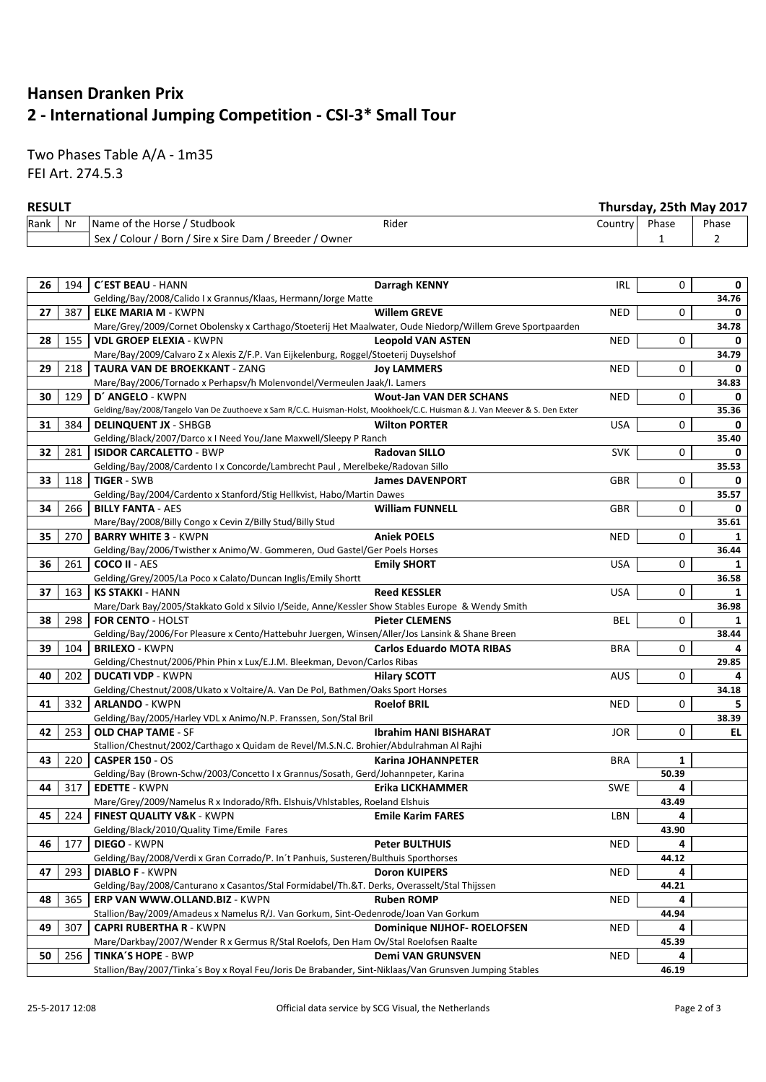# **Hansen Dranken Prix 2 - International Jumping Competition - CSI-3\* Small Tour**

Two Phases Table A/A - 1m35 FEI Art. 274.5.3

### **RESULT Thursday, 25th May 2017**

|      | .  |                                                         |       | 1119199971291111191972921 |       |       |
|------|----|---------------------------------------------------------|-------|---------------------------|-------|-------|
| Rank | Nr | Name of the Horse / Studbook                            | Rider | Country l                 | Phase | Phase |
|      |    | Sex / Colour / Born / Sire x Sire Dam / Breeder / Owner |       |                           |       |       |

| 26 | 194 | <b>C'EST BEAU - HANN</b><br><b>Darragh KENNY</b>                                                                           | IRL        | 0     | 0        |
|----|-----|----------------------------------------------------------------------------------------------------------------------------|------------|-------|----------|
|    |     | Gelding/Bay/2008/Calido I x Grannus/Klaas, Hermann/Jorge Matte                                                             |            |       | 34.76    |
| 27 | 387 | <b>Willem GREVE</b><br><b>ELKE MARIA M - KWPN</b>                                                                          | <b>NED</b> | 0     | 0        |
|    |     | Mare/Grey/2009/Cornet Obolensky x Carthago/Stoeterij Het Maalwater, Oude Niedorp/Willem Greve Sportpaarden                 |            |       | 34.78    |
| 28 | 155 | <b>VDL GROEP ELEXIA - KWPN</b><br><b>Leopold VAN ASTEN</b>                                                                 | <b>NED</b> | 0     | 0        |
|    |     | Mare/Bay/2009/Calvaro Z x Alexis Z/F.P. Van Eijkelenburg, Roggel/Stoeterij Duyselshof                                      |            |       | 34.79    |
| 29 | 218 | <b>TAURA VAN DE BROEKKANT - ZANG</b><br><b>Joy LAMMERS</b>                                                                 | <b>NED</b> | 0     | 0        |
|    |     | Mare/Bay/2006/Tornado x Perhapsv/h Molenvondel/Vermeulen Jaak/I. Lamers                                                    |            |       | 34.83    |
| 30 | 129 | <b>Wout-Jan VAN DER SCHANS</b><br>D' ANGELO - KWPN                                                                         | <b>NED</b> | 0     | 0        |
|    |     | Gelding/Bay/2008/Tangelo Van De Zuuthoeve x Sam R/C.C. Huisman-Holst, Mookhoek/C.C. Huisman & J. Van Meever & S. Den Exter |            |       | 35.36    |
| 31 | 384 | <b>DELINQUENT JX - SHBGB</b><br><b>Wilton PORTER</b>                                                                       | <b>USA</b> | 0     | 0        |
|    |     | Gelding/Black/2007/Darco x I Need You/Jane Maxwell/Sleepy P Ranch                                                          |            |       | 35.40    |
| 32 | 281 | <b>ISIDOR CARCALETTO - BWP</b><br><b>Radovan SILLO</b>                                                                     | <b>SVK</b> | 0     | $\Omega$ |
|    |     | Gelding/Bay/2008/Cardento I x Concorde/Lambrecht Paul, Merelbeke/Radovan Sillo                                             |            |       | 35.53    |
| 33 | 118 | <b>TIGER - SWB</b><br><b>James DAVENPORT</b>                                                                               | GBR        | 0     | 0        |
|    |     | Gelding/Bay/2004/Cardento x Stanford/Stig Hellkvist, Habo/Martin Dawes                                                     |            |       | 35.57    |
| 34 | 266 | <b>BILLY FANTA - AES</b><br><b>William FUNNELL</b>                                                                         | <b>GBR</b> | 0     | 0        |
|    |     | Mare/Bay/2008/Billy Congo x Cevin Z/Billy Stud/Billy Stud                                                                  |            |       | 35.61    |
| 35 | 270 | <b>BARRY WHITE 3 - KWPN</b><br><b>Aniek POELS</b>                                                                          | <b>NED</b> | 0     | 1        |
|    |     | Gelding/Bay/2006/Twisther x Animo/W. Gommeren, Oud Gastel/Ger Poels Horses                                                 |            |       | 36.44    |
| 36 | 261 | <b>COCO II - AES</b><br><b>Emily SHORT</b>                                                                                 | <b>USA</b> | 0     | 1        |
|    |     | Gelding/Grey/2005/La Poco x Calato/Duncan Inglis/Emily Shortt                                                              |            |       | 36.58    |
| 37 | 163 | <b>Reed KESSLER</b><br><b>KS STAKKI - HANN</b>                                                                             | <b>USA</b> | 0     | 1        |
|    |     | Mare/Dark Bay/2005/Stakkato Gold x Silvio I/Seide, Anne/Kessler Show Stables Europe & Wendy Smith                          |            |       | 36.98    |
| 38 | 298 | FOR CENTO - HOLST<br><b>Pieter CLEMENS</b>                                                                                 | <b>BEL</b> | 0     | 1        |
|    |     | Gelding/Bay/2006/For Pleasure x Cento/Hattebuhr Juergen, Winsen/Aller/Jos Lansink & Shane Breen                            |            |       | 38.44    |
| 39 | 104 | <b>BRILEXO - KWPN</b><br><b>Carlos Eduardo MOTA RIBAS</b>                                                                  | <b>BRA</b> | 0     |          |
|    |     | Gelding/Chestnut/2006/Phin Phin x Lux/E.J.M. Bleekman, Devon/Carlos Ribas                                                  |            |       | 29.85    |
| 40 | 202 | <b>DUCATI VDP - KWPN</b><br><b>Hilary SCOTT</b>                                                                            | <b>AUS</b> | 0     | 4        |
|    |     | Gelding/Chestnut/2008/Ukato x Voltaire/A. Van De Pol, Bathmen/Oaks Sport Horses                                            |            |       | 34.18    |
| 41 | 332 | <b>ARLANDO - KWPN</b><br><b>Roelof BRIL</b>                                                                                | <b>NED</b> | 0     | 5.       |
|    |     | Gelding/Bay/2005/Harley VDL x Animo/N.P. Franssen, Son/Stal Bril                                                           |            |       | 38.39    |
| 42 | 253 | <b>OLD CHAP TAME - SF</b><br><b>Ibrahim HANI BISHARAT</b>                                                                  | <b>JOR</b> | 0     | EL.      |
|    |     | Stallion/Chestnut/2002/Carthago x Quidam de Revel/M.S.N.C. Brohier/Abdulrahman Al Rajhi                                    |            |       |          |
| 43 | 220 | <b>CASPER 150 - OS</b><br><b>Karina JOHANNPETER</b>                                                                        | <b>BRA</b> | 1     |          |
|    |     | Gelding/Bay (Brown-Schw/2003/Concetto I x Grannus/Sosath, Gerd/Johannpeter, Karina                                         |            | 50.39 |          |
| 44 | 317 | <b>EDETTE - KWPN</b><br>Erika LICKHAMMER                                                                                   | <b>SWE</b> | 4     |          |
|    |     | Mare/Grey/2009/Namelus R x Indorado/Rfh. Elshuis/Vhlstables, Roeland Elshuis                                               |            | 43.49 |          |
| 45 | 224 | <b>FINEST QUALITY V&amp;K - KWPN</b><br><b>Emile Karim FARES</b>                                                           | LBN        | 4     |          |
|    |     | Gelding/Black/2010/Quality Time/Emile Fares                                                                                |            | 43.90 |          |
| 46 | 177 | DIEGO - KWPN<br><b>Peter BULTHUIS</b>                                                                                      | <b>NED</b> | 4     |          |
|    |     | Gelding/Bay/2008/Verdi x Gran Corrado/P. In't Panhuis, Susteren/Bulthuis Sporthorses                                       |            | 44.12 |          |
| 47 | 293 | <b>DIABLO F - KWPN</b><br><b>Doron KUIPERS</b>                                                                             | NED        |       |          |
|    |     | Gelding/Bay/2008/Canturano x Casantos/Stal Formidabel/Th.&T. Derks, Overasselt/Stal Thijssen                               |            | 44.21 |          |
| 48 | 365 | ERP VAN WWW.OLLAND.BIZ - KWPN<br><b>Ruben ROMP</b>                                                                         | <b>NED</b> | 4     |          |
|    |     | Stallion/Bay/2009/Amadeus x Namelus R/J. Van Gorkum, Sint-Oedenrode/Joan Van Gorkum                                        |            | 44.94 |          |
| 49 | 307 | <b>CAPRI RUBERTHA R - KWPN</b><br><b>Dominique NIJHOF- ROELOFSEN</b>                                                       | <b>NED</b> | 4     |          |
|    |     | Mare/Darkbay/2007/Wender R x Germus R/Stal Roelofs, Den Ham Ov/Stal Roelofsen Raalte                                       |            | 45.39 |          |
| 50 | 256 | <b>Demi VAN GRUNSVEN</b><br><b>TINKA'S HOPE - BWP</b>                                                                      | <b>NED</b> | 4     |          |
|    |     | Stallion/Bay/2007/Tinka's Boy x Royal Feu/Joris De Brabander, Sint-Niklaas/Van Grunsven Jumping Stables                    |            | 46.19 |          |
|    |     |                                                                                                                            |            |       |          |